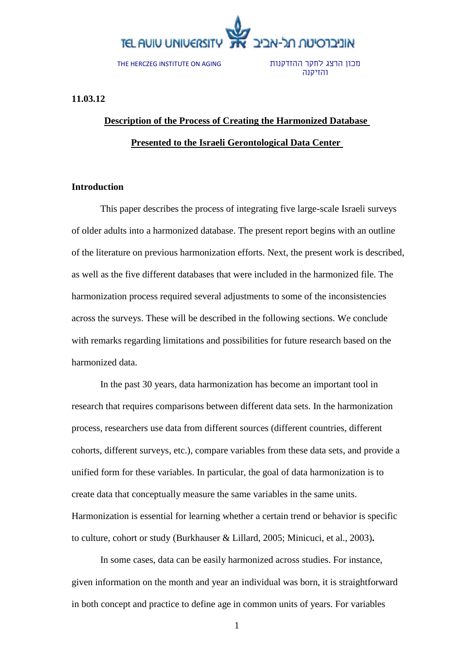

THE HERCZEG INSTITUTE ON AGING

מכון הרצג לחקר ההזדקנות והזיקנה

**11.03.12**

## **Description of the Process of Creating the Harmonized Database Presented to the Israeli Gerontological Data Center**

### **Introduction**

This paper describes the process of integrating five large-scale Israeli surveys of older adults into a harmonized database. The present report begins with an outline of the literature on previous harmonization efforts. Next, the present work is described, as well as the five different databases that were included in the harmonized file. The harmonization process required several adjustments to some of the inconsistencies across the surveys. These will be described in the following sections. We conclude with remarks regarding limitations and possibilities for future research based on the harmonized data.

In the past 30 years, data harmonization has become an important tool in research that requires comparisons between different data sets. In the harmonization process, researchers use data from different sources (different countries, different cohorts, different surveys, etc.), compare variables from these data sets, and provide a unified form for these variables. In particular, the goal of data harmonization is to create data that conceptually measure the same variables in the same units. Harmonization is essential for learning whether a certain trend or behavior is specific to culture, cohort or study (Burkhauser & Lillard, 2005; Minicuci, et al., 2003)**.**

In some cases, data can be easily harmonized across studies. For instance, given information on the month and year an individual was born, it is straightforward in both concept and practice to define age in common units of years. For variables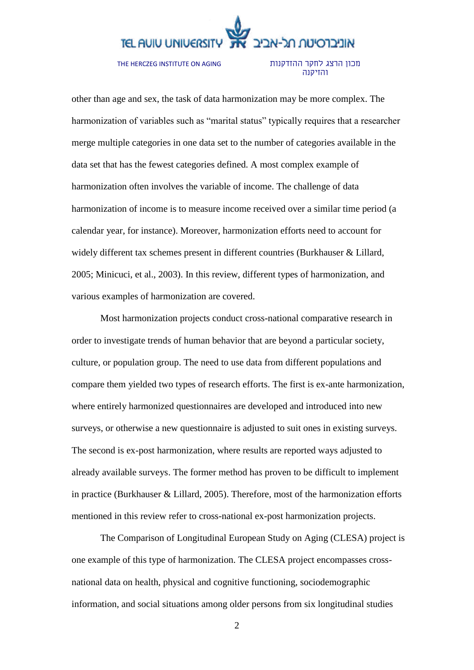THE HERCZEG INSTITUTE ON AGING

מכון הרצג לחקר ההזדקנות והזיקנה

other than age and sex, the task of data harmonization may be more complex. The harmonization of variables such as "marital status" typically requires that a researcher merge multiple categories in one data set to the number of categories available in the data set that has the fewest categories defined. A most complex example of harmonization often involves the variable of income. The challenge of data harmonization of income is to measure income received over a similar time period (a calendar year, for instance). Moreover, harmonization efforts need to account for widely different tax schemes present in different countries (Burkhauser & Lillard, 2005; Minicuci, et al., 2003). In this review, different types of harmonization, and various examples of harmonization are covered.

Most harmonization projects conduct cross-national comparative research in order to investigate trends of human behavior that are beyond a particular society, culture, or population group. The need to use data from different populations and compare them yielded two types of research efforts. The first is ex-ante harmonization, where entirely harmonized questionnaires are developed and introduced into new surveys, or otherwise a new questionnaire is adjusted to suit ones in existing surveys. The second is ex-post harmonization, where results are reported ways adjusted to already available surveys. The former method has proven to be difficult to implement in practice (Burkhauser & Lillard, 2005). Therefore, most of the harmonization efforts mentioned in this review refer to cross-national ex-post harmonization projects.

The Comparison of Longitudinal European Study on Aging (CLESA) project is one example of this type of harmonization. The CLESA project encompasses crossnational data on health, physical and cognitive functioning, sociodemographic information, and social situations among older persons from six longitudinal studies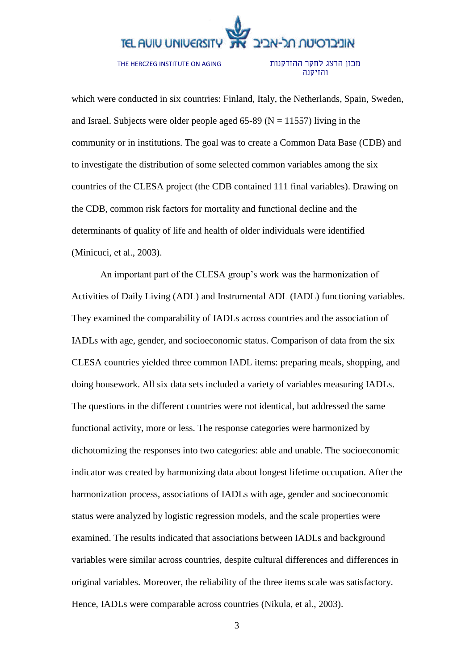THE HERCZEG INSTITUTE ON AGING

#### מכון הרצג לחקר ההזדקנות והזיקנה

which were conducted in six countries: Finland, Italy, the Netherlands, Spain, Sweden, and Israel. Subjects were older people aged 65-89 ( $N = 11557$ ) living in the community or in institutions. The goal was to create a Common Data Base (CDB) and to investigate the distribution of some selected common variables among the six countries of the CLESA project (the CDB contained 111 final variables). Drawing on the CDB, common risk factors for mortality and functional decline and the determinants of quality of life and health of older individuals were identified (Minicuci, et al., 2003).

An important part of the CLESA group's work was the harmonization of Activities of Daily Living (ADL) and Instrumental ADL (IADL) functioning variables. They examined the comparability of IADLs across countries and the association of IADLs with age, gender, and socioeconomic status. Comparison of data from the six CLESA countries yielded three common IADL items: preparing meals, shopping, and doing housework. All six data sets included a variety of variables measuring IADLs. The questions in the different countries were not identical, but addressed the same functional activity, more or less. The response categories were harmonized by dichotomizing the responses into two categories: able and unable. The socioeconomic indicator was created by harmonizing data about longest lifetime occupation. After the harmonization process, associations of IADLs with age, gender and socioeconomic status were analyzed by logistic regression models, and the scale properties were examined. The results indicated that associations between IADLs and background variables were similar across countries, despite cultural differences and differences in original variables. Moreover, the reliability of the three items scale was satisfactory. Hence, IADLs were comparable across countries (Nikula, et al., 2003).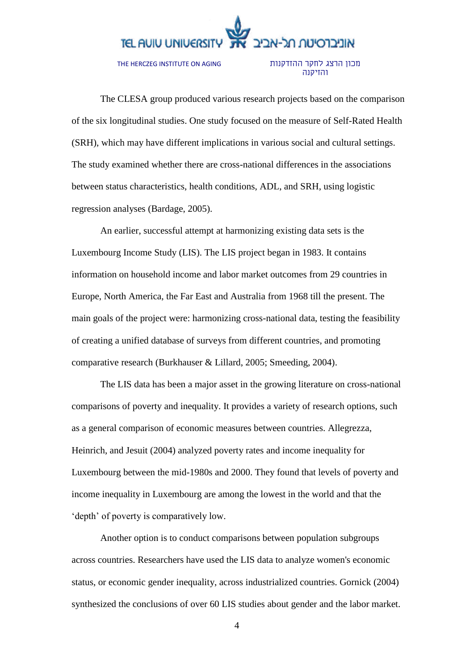THE HERCZEG INSTITUTE ON AGING

#### מכון הרצג לחקר ההזדקנות והזיקנה

The CLESA group produced various research projects based on the comparison of the six longitudinal studies. One study focused on the measure of Self-Rated Health (SRH), which may have different implications in various social and cultural settings. The study examined whether there are cross-national differences in the associations between status characteristics, health conditions, ADL, and SRH, using logistic regression analyses (Bardage, 2005).

An earlier, successful attempt at harmonizing existing data sets is the Luxembourg Income Study (LIS). The LIS project began in 1983. It contains information on household income and labor market outcomes from 29 countries in Europe, North America, the Far East and Australia from 1968 till the present. The main goals of the project were: harmonizing cross-national data, testing the feasibility of creating a unified database of surveys from different countries, and promoting comparative research (Burkhauser & Lillard, 2005; Smeeding, 2004).

The LIS data has been a major asset in the growing literature on cross-national comparisons of poverty and inequality. It provides a variety of research options, such as a general comparison of economic measures between countries. Allegrezza, Heinrich, and Jesuit (2004) analyzed poverty rates and income inequality for Luxembourg between the mid-1980s and 2000. They found that levels of poverty and income inequality in Luxembourg are among the lowest in the world and that the 'depth' of poverty is comparatively low.

Another option is to conduct comparisons between population subgroups across countries. Researchers have used the LIS data to analyze women's economic status, or economic gender inequality, across industrialized countries. Gornick (2004) synthesized the conclusions of over 60 LIS studies about gender and the labor market.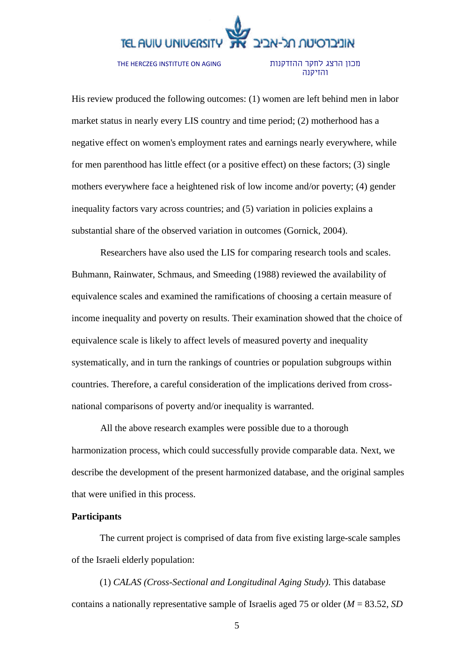THE HERCZEG INSTITUTE ON AGING

#### מכון הרצג לחקר ההזדקנות והזיקנה

His review produced the following outcomes: (1) women are left behind men in labor market status in nearly every LIS country and time period; (2) motherhood has a negative effect on women's employment rates and earnings nearly everywhere, while for men parenthood has little effect (or a positive effect) on these factors; (3) single mothers everywhere face a heightened risk of low income and/or poverty; (4) gender inequality factors vary across countries; and (5) variation in policies explains a substantial share of the observed variation in outcomes (Gornick, 2004).

Researchers have also used the LIS for comparing research tools and scales. Buhmann, Rainwater, Schmaus, and Smeeding (1988) reviewed the availability of equivalence scales and examined the ramifications of choosing a certain measure of income inequality and poverty on results. Their examination showed that the choice of equivalence scale is likely to affect levels of measured poverty and inequality systematically, and in turn the rankings of countries or population subgroups within countries. Therefore, a careful consideration of the implications derived from crossnational comparisons of poverty and/or inequality is warranted.

All the above research examples were possible due to a thorough harmonization process, which could successfully provide comparable data. Next, we describe the development of the present harmonized database, and the original samples that were unified in this process.

#### **Participants**

The current project is comprised of data from five existing large-scale samples of the Israeli elderly population:

(1) *CALAS (Cross-Sectional and Longitudinal Aging Study).* This database contains a nationally representative sample of Israelis aged 75 or older (*M* = 83.52, *SD*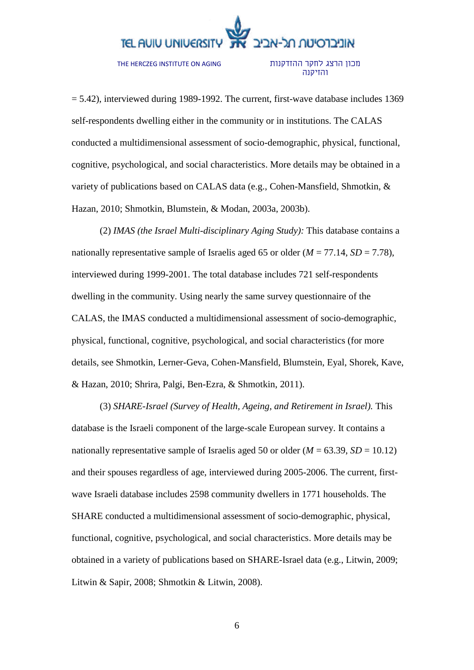THE HERCZEG INSTITUTE ON AGING

מכון הרצג לחקר ההזדקנות והזיקנה

 $= 5.42$ ), interviewed during 1989-1992. The current, first-wave database includes 1369 self-respondents dwelling either in the community or in institutions. The CALAS conducted a multidimensional assessment of socio-demographic, physical, functional, cognitive, psychological, and social characteristics. More details may be obtained in a variety of publications based on CALAS data (e.g., Cohen-Mansfield, Shmotkin, & Hazan, 2010; Shmotkin, Blumstein, & Modan, 2003a, 2003b).

(2) *IMAS (the Israel Multi-disciplinary Aging Study):* This database contains a nationally representative sample of Israelis aged 65 or older  $(M = 77.14, SD = 7.78)$ , interviewed during 1999-2001. The total database includes 721 self-respondents dwelling in the community. Using nearly the same survey questionnaire of the CALAS, the IMAS conducted a multidimensional assessment of socio-demographic, physical, functional, cognitive, psychological, and social characteristics (for more details, see Shmotkin, Lerner-Geva, Cohen-Mansfield, Blumstein, Eyal, Shorek, Kave, & Hazan, 2010; Shrira, Palgi, Ben-Ezra, & Shmotkin, 2011).

(3) *SHARE-Israel (Survey of Health, Ageing, and Retirement in Israel).* This database is the Israeli component of the large-scale European survey. It contains a nationally representative sample of Israelis aged 50 or older  $(M = 63.39, SD = 10.12)$ and their spouses regardless of age, interviewed during 2005-2006. The current, firstwave Israeli database includes 2598 community dwellers in 1771 households. The SHARE conducted a multidimensional assessment of socio-demographic, physical, functional, cognitive, psychological, and social characteristics. More details may be obtained in a variety of publications based on SHARE-Israel data (e.g., Litwin, 2009; Litwin & Sapir, 2008; Shmotkin & Litwin, 2008).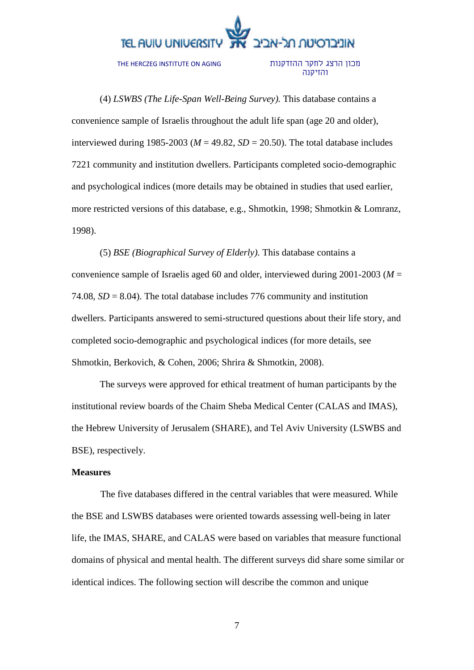THE HERCZEG INSTITUTE ON AGING

#### מכון הרצג לחקר ההזדקנות והזיקנה

(4) *LSWBS (The Life-Span Well-Being Survey).* This database contains a convenience sample of Israelis throughout the adult life span (age 20 and older), interviewed during 1985-2003 ( $M = 49.82$ ,  $SD = 20.50$ ). The total database includes 7221 community and institution dwellers. Participants completed socio-demographic and psychological indices (more details may be obtained in studies that used earlier, more restricted versions of this database, e.g., Shmotkin, 1998; Shmotkin & Lomranz, 1998).

(5) *BSE (Biographical Survey of Elderly).* This database contains a convenience sample of Israelis aged 60 and older, interviewed during 2001-2003 (*M* = 74.08,  $SD = 8.04$ ). The total database includes 776 community and institution dwellers. Participants answered to semi-structured questions about their life story, and completed socio-demographic and psychological indices (for more details, see Shmotkin, Berkovich, & Cohen, 2006; Shrira & Shmotkin, 2008).

The surveys were approved for ethical treatment of human participants by the institutional review boards of the Chaim Sheba Medical Center (CALAS and IMAS), the Hebrew University of Jerusalem (SHARE), and Tel Aviv University (LSWBS and BSE), respectively.

#### **Measures**

The five databases differed in the central variables that were measured. While the BSE and LSWBS databases were oriented towards assessing well-being in later life, the IMAS, SHARE, and CALAS were based on variables that measure functional domains of physical and mental health. The different surveys did share some similar or identical indices. The following section will describe the common and unique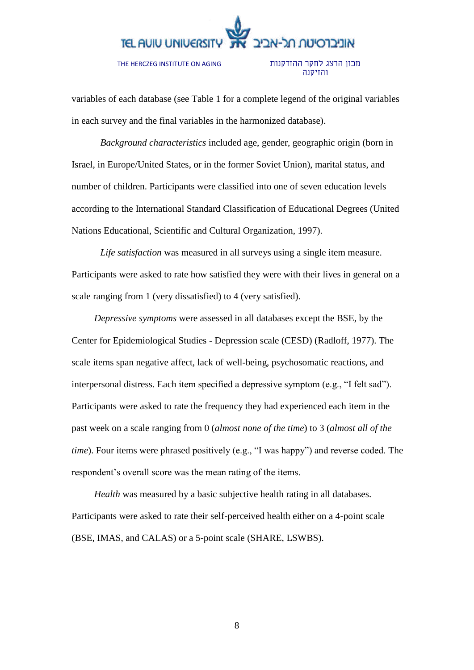THE HERCZEG INSTITUTE ON AGING

#### מכון הרצג לחקר ההזדקנות והזיקנה

variables of each database (see Table 1 for a complete legend of the original variables in each survey and the final variables in the harmonized database).

*Background characteristics* included age, gender, geographic origin (born in Israel, in Europe/United States, or in the former Soviet Union), marital status, and number of children. Participants were classified into one of seven education levels according to the International Standard Classification of Educational Degrees (United Nations Educational, Scientific and Cultural Organization, 1997).

*Life satisfaction* was measured in all surveys using a single item measure. Participants were asked to rate how satisfied they were with their lives in general on a scale ranging from 1 (very dissatisfied) to 4 (very satisfied).

*Depressive symptoms* were assessed in all databases except the BSE, by the Center for Epidemiological Studies - Depression scale (CESD) (Radloff, 1977). The scale items span negative affect, lack of well-being, psychosomatic reactions, and interpersonal distress. Each item specified a depressive symptom (e.g., "I felt sad"). Participants were asked to rate the frequency they had experienced each item in the past week on a scale ranging from 0 (*almost none of the time*) to 3 (*almost all of the time*). Four items were phrased positively (e.g., "I was happy") and reverse coded. The respondent's overall score was the mean rating of the items.

*Health* was measured by a basic subjective health rating in all databases. Participants were asked to rate their self-perceived health either on a 4-point scale (BSE, IMAS, and CALAS) or a 5-point scale (SHARE, LSWBS).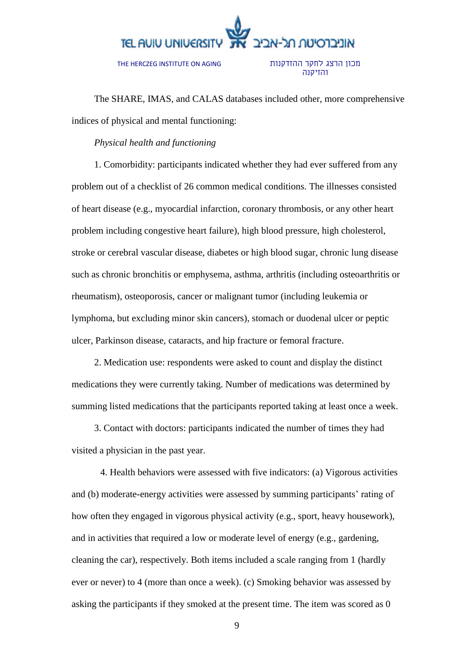THE HERCZEG INSTITUTE ON AGING

מכון הרצג לחקר ההזדקנות והזיקנה

The SHARE, IMAS, and CALAS databases included other, more comprehensive indices of physical and mental functioning:

#### *Physical health and functioning*

1. Comorbidity: participants indicated whether they had ever suffered from any problem out of a checklist of 26 common medical conditions. The illnesses consisted of heart disease (e.g., myocardial infarction, coronary thrombosis, or any other heart problem including congestive heart failure), high blood pressure, high cholesterol, stroke or cerebral vascular disease, diabetes or high blood sugar, chronic lung disease such as chronic bronchitis or emphysema, asthma, arthritis (including osteoarthritis or rheumatism), osteoporosis, cancer or malignant tumor (including leukemia or lymphoma, but excluding minor skin cancers), stomach or duodenal ulcer or peptic ulcer, Parkinson disease, cataracts, and hip fracture or femoral fracture.

2. Medication use: respondents were asked to count and display the distinct medications they were currently taking. Number of medications was determined by summing listed medications that the participants reported taking at least once a week.

3. Contact with doctors: participants indicated the number of times they had visited a physician in the past year.

4. Health behaviors were assessed with five indicators: (a) Vigorous activities and (b) moderate-energy activities were assessed by summing participants' rating of how often they engaged in vigorous physical activity (e.g., sport, heavy housework), and in activities that required a low or moderate level of energy (e.g., gardening, cleaning the car), respectively. Both items included a scale ranging from 1 (hardly ever or never) to 4 (more than once a week). (c) Smoking behavior was assessed by asking the participants if they smoked at the present time. The item was scored as 0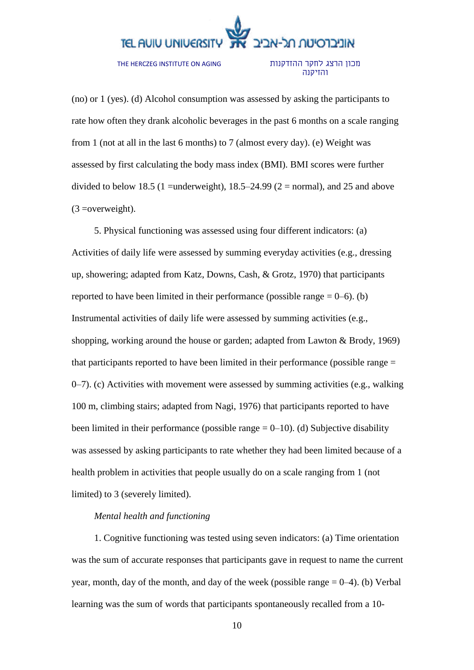THE HERCZEG INSTITUTE ON AGING

#### מכון הרצג לחקר ההזדקנות והזיקנה

(no) or 1 (yes). (d) Alcohol consumption was assessed by asking the participants to rate how often they drank alcoholic beverages in the past 6 months on a scale ranging from 1 (not at all in the last 6 months) to 7 (almost every day). (e) Weight was assessed by first calculating the body mass index (BMI). BMI scores were further divided to below 18.5 (1 =underweight),  $18.5-24.99$  (2 = normal), and 25 and above  $(3 = overweight)$ .

5. Physical functioning was assessed using four different indicators: (a) Activities of daily life were assessed by summing everyday activities (e.g., dressing up, showering; adapted from Katz, Downs, Cash, & Grotz, 1970) that participants reported to have been limited in their performance (possible range  $= 0$ –6). (b) Instrumental activities of daily life were assessed by summing activities (e.g., shopping, working around the house or garden; adapted from Lawton & Brody, 1969) that participants reported to have been limited in their performance (possible range = 0–7). (c) Activities with movement were assessed by summing activities (e.g., walking 100 m, climbing stairs; adapted from Nagi, 1976) that participants reported to have been limited in their performance (possible range  $= 0$ –10). (d) Subjective disability was assessed by asking participants to rate whether they had been limited because of a health problem in activities that people usually do on a scale ranging from 1 (not limited) to 3 (severely limited).

### *Mental health and functioning*

1. Cognitive functioning was tested using seven indicators: (a) Time orientation was the sum of accurate responses that participants gave in request to name the current year, month, day of the month, and day of the week (possible range  $= 0-4$ ). (b) Verbal learning was the sum of words that participants spontaneously recalled from a 10-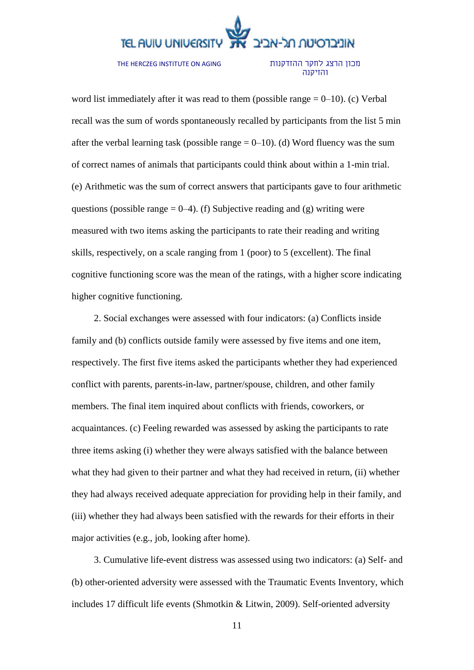THE HERCZEG INSTITUTE ON AGING

#### מכון הרצג לחקר ההזדקנות והזיקנה

word list immediately after it was read to them (possible range  $= 0$ –10). (c) Verbal recall was the sum of words spontaneously recalled by participants from the list 5 min after the verbal learning task (possible range  $= 0$ –10). (d) Word fluency was the sum of correct names of animals that participants could think about within a 1-min trial. (e) Arithmetic was the sum of correct answers that participants gave to four arithmetic questions (possible range  $= 0-4$ ). (f) Subjective reading and (g) writing were measured with two items asking the participants to rate their reading and writing skills, respectively, on a scale ranging from 1 (poor) to 5 (excellent). The final cognitive functioning score was the mean of the ratings, with a higher score indicating higher cognitive functioning.

2. Social exchanges were assessed with four indicators: (a) Conflicts inside family and (b) conflicts outside family were assessed by five items and one item, respectively. The first five items asked the participants whether they had experienced conflict with parents, parents-in-law, partner/spouse, children, and other family members. The final item inquired about conflicts with friends, coworkers, or acquaintances. (c) Feeling rewarded was assessed by asking the participants to rate three items asking (i) whether they were always satisfied with the balance between what they had given to their partner and what they had received in return, (ii) whether they had always received adequate appreciation for providing help in their family, and (iii) whether they had always been satisfied with the rewards for their efforts in their major activities (e.g., job, looking after home).

3. Cumulative life-event distress was assessed using two indicators: (a) Self- and (b) other-oriented adversity were assessed with the Traumatic Events Inventory, which includes 17 difficult life events (Shmotkin & Litwin, 2009). Self-oriented adversity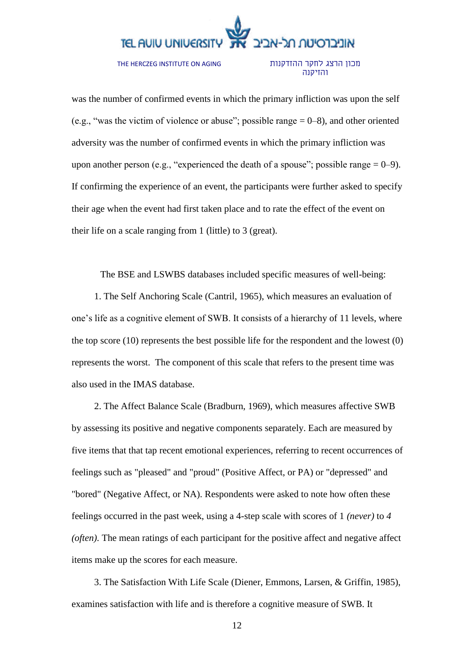THE HERCZEG INSTITUTE ON AGING

#### מכון הרצג לחקר ההזדקנות והזיקנה

was the number of confirmed events in which the primary infliction was upon the self (e.g., "was the victim of violence or abuse"; possible range  $= 0-8$ ), and other oriented adversity was the number of confirmed events in which the primary infliction was upon another person (e.g., "experienced the death of a spouse"; possible range  $= 0-9$ ). If confirming the experience of an event, the participants were further asked to specify their age when the event had first taken place and to rate the effect of the event on their life on a scale ranging from 1 (little) to 3 (great).

The BSE and LSWBS databases included specific measures of well-being:

1. The Self Anchoring Scale (Cantril, 1965), which measures an evaluation of one's life as a cognitive element of SWB. It consists of a hierarchy of 11 levels, where the top score (10) represents the best possible life for the respondent and the lowest (0) represents the worst. The component of this scale that refers to the present time was also used in the IMAS database.

2. The Affect Balance Scale (Bradburn, 1969), which measures affective SWB by assessing its positive and negative components separately. Each are measured by five items that that tap recent emotional experiences, referring to recent occurrences of feelings such as "pleased" and "proud" (Positive Affect, or PA) or "depressed" and "bored" (Negative Affect, or NA). Respondents were asked to note how often these feelings occurred in the past week, using a 4-step scale with scores of 1 *(never)* to *4 (often).* The mean ratings of each participant for the positive affect and negative affect items make up the scores for each measure.

3. The Satisfaction With Life Scale (Diener, Emmons, Larsen, & Griffin, 1985), examines satisfaction with life and is therefore a cognitive measure of SWB. It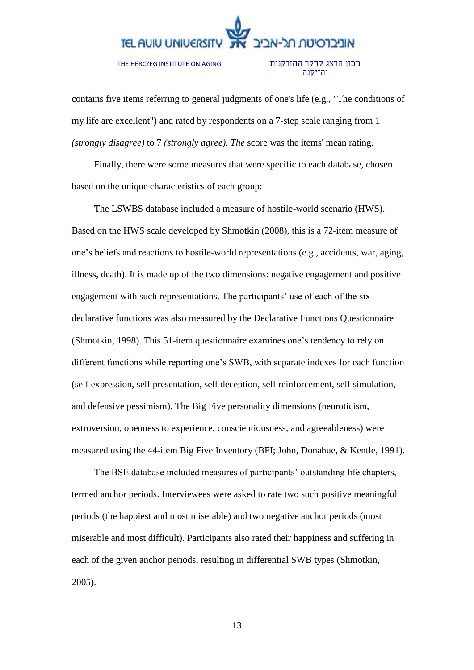#### THE HERCZEG INSTITUTE ON AGING

מכון הרצג לחקר ההזדקנות והזיקנה

contains five items referring to general judgments of one's life (e.g., "The conditions of my life are excellent") and rated by respondents on a 7-step scale ranging from 1 *(strongly disagree)* to 7 *(strongly agree). The* score was the items' mean rating.

Finally, there were some measures that were specific to each database, chosen based on the unique characteristics of each group:

The LSWBS database included a measure of hostile-world scenario (HWS). Based on the HWS scale developed by Shmotkin (2008), this is a 72-item measure of one's beliefs and reactions to hostile-world representations (e.g., accidents, war, aging, illness, death). It is made up of the two dimensions: negative engagement and positive engagement with such representations. The participants' use of each of the six declarative functions was also measured by the Declarative Functions Questionnaire (Shmotkin, 1998). This 51-item questionnaire examines one's tendency to rely on different functions while reporting one's SWB, with separate indexes for each function (self expression, self presentation, self deception, self reinforcement, self simulation, and defensive pessimism). The Big Five personality dimensions (neuroticism, extroversion, openness to experience, conscientiousness, and agreeableness) were measured using the 44-item Big Five Inventory (BFI; John, Donahue, & Kentle, 1991).

The BSE database included measures of participants' outstanding life chapters, termed anchor periods. Interviewees were asked to rate two such positive meaningful periods (the happiest and most miserable) and two negative anchor periods (most miserable and most difficult). Participants also rated their happiness and suffering in each of the given anchor periods, resulting in differential SWB types (Shmotkin, 2005).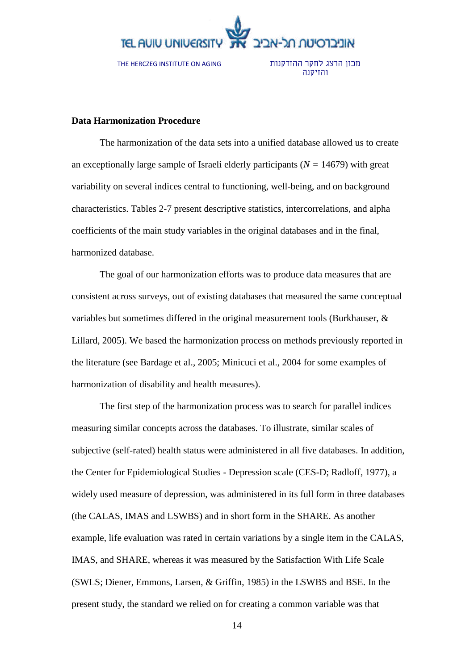

### **Data Harmonization Procedure**

The harmonization of the data sets into a unified database allowed us to create an exceptionally large sample of Israeli elderly participants (*N =* 14679) with great variability on several indices central to functioning, well-being, and on background characteristics. Tables 2-7 present descriptive statistics, intercorrelations, and alpha coefficients of the main study variables in the original databases and in the final, harmonized database.

The goal of our harmonization efforts was to produce data measures that are consistent across surveys, out of existing databases that measured the same conceptual variables but sometimes differed in the original measurement tools (Burkhauser, & Lillard, 2005). We based the harmonization process on methods previously reported in the literature (see Bardage et al., 2005; Minicuci et al., 2004 for some examples of harmonization of disability and health measures).

The first step of the harmonization process was to search for parallel indices measuring similar concepts across the databases. To illustrate, similar scales of subjective (self-rated) health status were administered in all five databases. In addition, the Center for Epidemiological Studies - Depression scale (CES-D; Radloff, 1977), a widely used measure of depression, was administered in its full form in three databases (the CALAS, IMAS and LSWBS) and in short form in the SHARE. As another example, life evaluation was rated in certain variations by a single item in the CALAS, IMAS, and SHARE, whereas it was measured by the Satisfaction With Life Scale (SWLS; Diener, Emmons, Larsen, & Griffin, 1985) in the LSWBS and BSE. In the present study, the standard we relied on for creating a common variable was that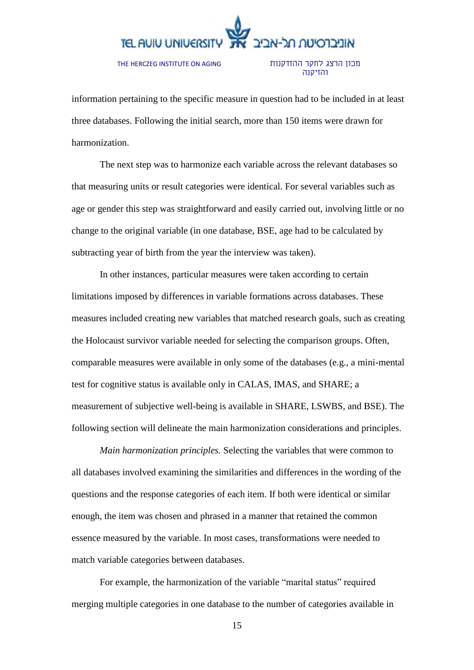THE HERCZEG INSTITUTE ON AGING

מכון הרצג לחקר ההזדקנות והזיקנה

information pertaining to the specific measure in question had to be included in at least three databases. Following the initial search, more than 150 items were drawn for harmonization.

The next step was to harmonize each variable across the relevant databases so that measuring units or result categories were identical. For several variables such as age or gender this step was straightforward and easily carried out, involving little or no change to the original variable (in one database, BSE, age had to be calculated by subtracting year of birth from the year the interview was taken).

In other instances, particular measures were taken according to certain limitations imposed by differences in variable formations across databases. These measures included creating new variables that matched research goals, such as creating the Holocaust survivor variable needed for selecting the comparison groups. Often, comparable measures were available in only some of the databases (e.g., a mini-mental test for cognitive status is available only in CALAS, IMAS, and SHARE; a measurement of subjective well-being is available in SHARE, LSWBS, and BSE). The following section will delineate the main harmonization considerations and principles.

*Main harmonization principles.* Selecting the variables that were common to all databases involved examining the similarities and differences in the wording of the questions and the response categories of each item. If both were identical or similar enough, the item was chosen and phrased in a manner that retained the common essence measured by the variable. In most cases, transformations were needed to match variable categories between databases.

For example, the harmonization of the variable "marital status" required merging multiple categories in one database to the number of categories available in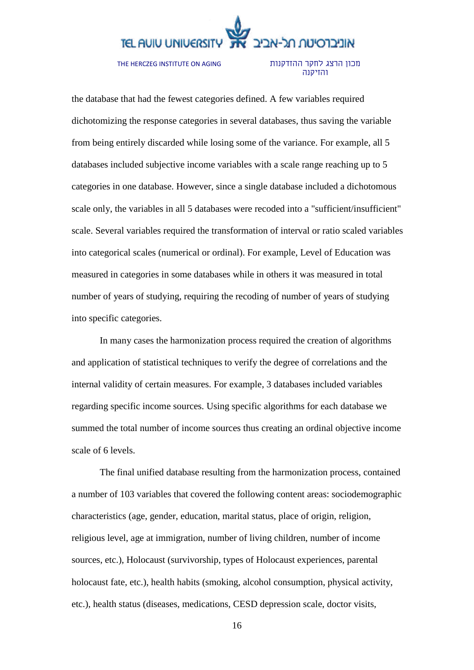THE HERCZEG INSTITUTE ON AGING

מכון הרצג לחקר ההזדקנות והזיקנה

the database that had the fewest categories defined. A few variables required dichotomizing the response categories in several databases, thus saving the variable from being entirely discarded while losing some of the variance. For example, all 5 databases included subjective income variables with a scale range reaching up to 5 categories in one database. However, since a single database included a dichotomous scale only, the variables in all 5 databases were recoded into a "sufficient/insufficient" scale. Several variables required the transformation of interval or ratio scaled variables into categorical scales (numerical or ordinal). For example, Level of Education was measured in categories in some databases while in others it was measured in total number of years of studying, requiring the recoding of number of years of studying into specific categories.

In many cases the harmonization process required the creation of algorithms and application of statistical techniques to verify the degree of correlations and the internal validity of certain measures. For example, 3 databases included variables regarding specific income sources. Using specific algorithms for each database we summed the total number of income sources thus creating an ordinal objective income scale of 6 levels.

The final unified database resulting from the harmonization process, contained a number of 103 variables that covered the following content areas: sociodemographic characteristics (age, gender, education, marital status, place of origin, religion, religious level, age at immigration, number of living children, number of income sources, etc.), Holocaust (survivorship, types of Holocaust experiences, parental holocaust fate, etc.), health habits (smoking, alcohol consumption, physical activity, etc.), health status (diseases, medications, CESD depression scale, doctor visits,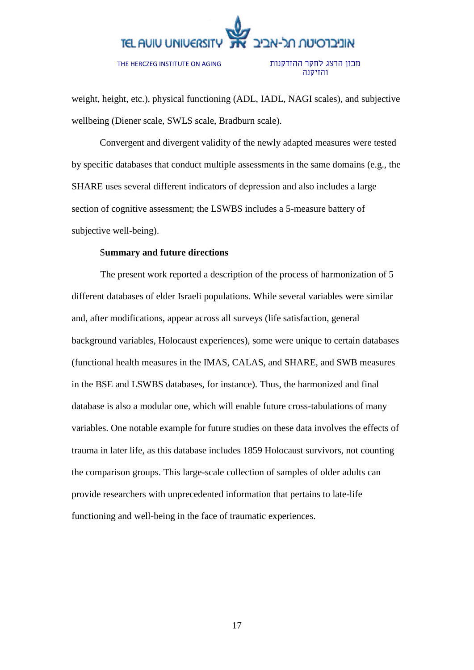THE HERCZEG INSTITUTE ON AGING

מכון הרצג לחקר ההזדקנות והזיקנה

weight, height, etc.), physical functioning (ADL, IADL, NAGI scales), and subjective wellbeing (Diener scale, SWLS scale, Bradburn scale).

Convergent and divergent validity of the newly adapted measures were tested by specific databases that conduct multiple assessments in the same domains (e.g., the SHARE uses several different indicators of depression and also includes a large section of cognitive assessment; the LSWBS includes a 5-measure battery of subjective well-being).

#### S**ummary and future directions**

The present work reported a description of the process of harmonization of 5 different databases of elder Israeli populations. While several variables were similar and, after modifications, appear across all surveys (life satisfaction, general background variables, Holocaust experiences), some were unique to certain databases (functional health measures in the IMAS, CALAS, and SHARE, and SWB measures in the BSE and LSWBS databases, for instance). Thus, the harmonized and final database is also a modular one, which will enable future cross-tabulations of many variables. One notable example for future studies on these data involves the effects of trauma in later life, as this database includes 1859 Holocaust survivors, not counting the comparison groups. This large-scale collection of samples of older adults can provide researchers with unprecedented information that pertains to late-life functioning and well-being in the face of traumatic experiences.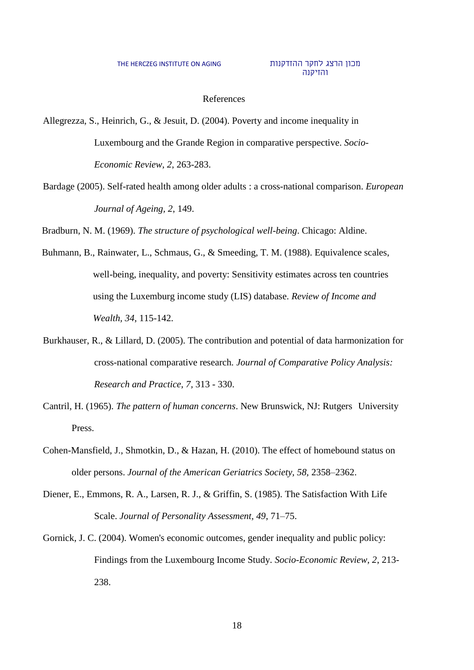#### מכון הרצג לחקר ההזדקנות והזיקנה

#### References

Allegrezza, S., Heinrich, G., & Jesuit, D. (2004). Poverty and income inequality in Luxembourg and the Grande Region in comparative perspective. *Socio-Economic Review, 2*, 263-283.

Bardage (2005). Self-rated health among older adults : a cross-national comparison. *European Journal of Ageing, 2*, 149.

Bradburn, N. M. (1969). *The structure of psychological well-being*. Chicago: Aldine.

- Buhmann, B., Rainwater, L., Schmaus, G., & Smeeding, T. M. (1988). Equivalence scales, well-being, inequality, and poverty: Sensitivity estimates across ten countries using the Luxemburg income study (LIS) database. *Review of Income and Wealth, 34*, 115-142.
- Burkhauser, R., & Lillard, D. (2005). The contribution and potential of data harmonization for cross-national comparative research. *Journal of Comparative Policy Analysis: Research and Practice*, *7,* 313 - 330.
- Cantril, H. (1965). *The pattern of human concerns*. New Brunswick, NJ: Rutgers University Press.
- Cohen-Mansfield, J., Shmotkin, D., & Hazan, H. (2010). The effect of homebound status on older persons. *Journal of the American Geriatrics Society, 58,* 2358–2362.
- Diener, E., Emmons, R. A., Larsen, R. J., & Griffin, S. (1985). The Satisfaction With Life Scale. *Journal of Personality Assessment, 49*, 71–75.
- Gornick, J. C. (2004). Women's economic outcomes, gender inequality and public policy: Findings from the Luxembourg Income Study. *Socio-Economic Review, 2*, 213- 238.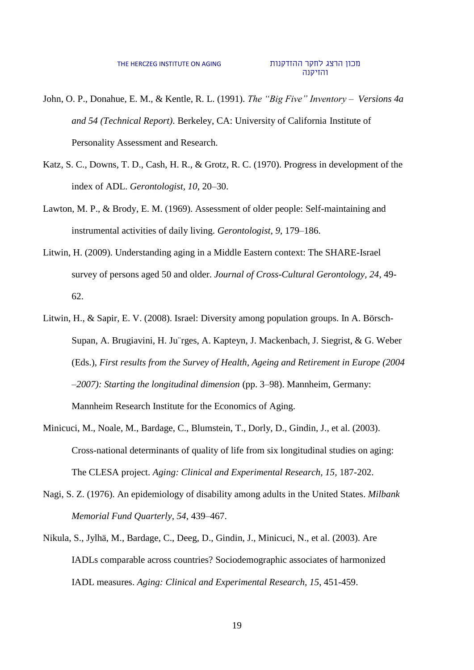- John, O. P., Donahue, E. M., & Kentle, R. L. (1991). *The "Big Five" Inventory – Versions 4a and 54 (Technical Report)*. Berkeley, CA: University of California Institute of Personality Assessment and Research.
- Katz, S. C., Downs, T. D., Cash, H. R., & Grotz, R. C. (1970). Progress in development of the index of ADL. *Gerontologist, 10,* 20–30.
- Lawton, M. P., & Brody, E. M. (1969). Assessment of older people: Self-maintaining and instrumental activities of daily living. *Gerontologist, 9,* 179–186.
- Litwin, H. (2009). Understanding aging in a Middle Eastern context: The SHARE-Israel survey of persons aged 50 and older. *Journal of Cross-Cultural Gerontology, 24*, 49- 62.
- Litwin, H., & Sapir, E. V. (2008). Israel: Diversity among population groups. In A. Börsch-Supan, A. Brugiavini, H. Ju¨rges, A. Kapteyn, J. Mackenbach, J. Siegrist, & G. Weber (Eds.), *First results from the Survey of Health, Ageing and Retirement in Europe (2004 –2007): Starting the longitudinal dimension* (pp. 3–98). Mannheim, Germany: Mannheim Research Institute for the Economics of Aging.
- Minicuci, M., Noale, M., Bardage, C., Blumstein, T., Dorly, D., Gindin, J., et al. (2003). Cross-national determinants of quality of life from six longitudinal studies on aging: The CLESA project. *Aging: Clinical and Experimental Research, 15,* 187-202.
- Nagi, S. Z. (1976). An epidemiology of disability among adults in the United States. *Milbank Memorial Fund Quarterly, 54,* 439–467.
- Nikula, S., Jylhä, M., Bardage, C., Deeg, D., Gindin, J., Minicuci, N., et al. (2003). Are IADLs comparable across countries? Sociodemographic associates of harmonized IADL measures. *Aging: Clinical and Experimental Research, 15*, 451-459.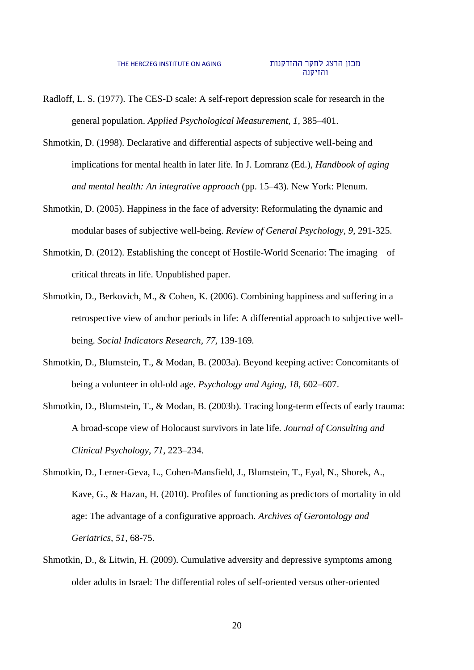- Radloff, L. S. (1977). The CES-D scale: A self-report depression scale for research in the general population. *Applied Psychological Measurement, 1,* 385–401.
- Shmotkin, D. (1998). Declarative and differential aspects of subjective well-being and implications for mental health in later life. In J. Lomranz (Ed.), *Handbook of aging and mental health: An integrative approach* (pp. 15–43). New York: Plenum.
- Shmotkin, D. (2005). Happiness in the face of adversity: Reformulating the dynamic and modular bases of subjective well-being. *Review of General Psychology, 9*, 291-325.
- Shmotkin, D. (2012). Establishing the concept of Hostile-World Scenario: The imaging of critical threats in life. Unpublished paper.
- Shmotkin, D., Berkovich, M., & Cohen, K. (2006). Combining happiness and suffering in a retrospective view of anchor periods in life: A differential approach to subjective wellbeing. *Social Indicators Research, 77,* 139-169*.*
- Shmotkin, D., Blumstein, T., & Modan, B. (2003a). Beyond keeping active: Concomitants of being a volunteer in old-old age. *Psychology and Aging, 18,* 602–607.
- Shmotkin, D., Blumstein, T., & Modan, B. (2003b). Tracing long-term effects of early trauma: A broad-scope view of Holocaust survivors in late life. *Journal of Consulting and Clinical Psychology, 71*, 223–234.
- Shmotkin, D., Lerner-Geva, L., Cohen-Mansfield, J., Blumstein, T., Eyal, N., Shorek, A., Kave, G., & Hazan, H. (2010). Profiles of functioning as predictors of mortality in old age: The advantage of a configurative approach. *Archives of Gerontology and Geriatrics, 51,* 68-75.
- Shmotkin, D., & Litwin, H. (2009). Cumulative adversity and depressive symptoms among older adults in Israel: The differential roles of self-oriented versus other-oriented